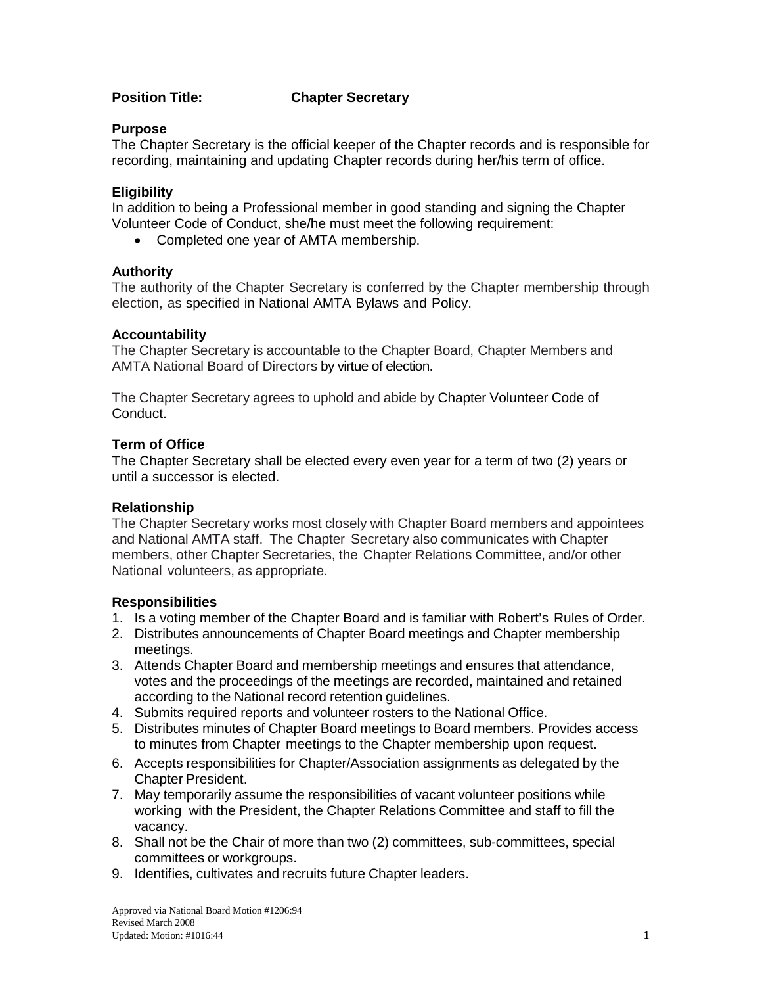# **Position Title: Chapter Secretary**

#### **Purpose**

The Chapter Secretary is the official keeper of the Chapter records and is responsible for recording, maintaining and updating Chapter records during her/his term of office.

#### **Eligibility**

In addition to being a Professional member in good standing and signing the Chapter Volunteer Code of Conduct, she/he must meet the following requirement:

• Completed one year of AMTA membership.

#### **Authority**

The authority of the Chapter Secretary is conferred by the Chapter membership through election, as specified in National AMTA Bylaws and Policy.

#### **Accountability**

The Chapter Secretary is accountable to the Chapter Board, Chapter Members and AMTA National Board of Directors by virtue of election.

The Chapter Secretary agrees to uphold and abide by Chapter Volunteer Code of Conduct.

# **Term of Office**

The Chapter Secretary shall be elected every even year for a term of two (2) years or until a successor is elected.

# **Relationship**

The Chapter Secretary works most closely with Chapter Board members and appointees and National AMTA staff. The Chapter Secretary also communicates with Chapter members, other Chapter Secretaries, the Chapter Relations Committee, and/or other National volunteers, as appropriate.

#### **Responsibilities**

- 1. Is a voting member of the Chapter Board and is familiar with Robert's Rules of Order.
- 2. Distributes announcements of Chapter Board meetings and Chapter membership meetings.
- 3. Attends Chapter Board and membership meetings and ensures that attendance, votes and the proceedings of the meetings are recorded, maintained and retained according to the National record retention guidelines.
- 4. Submits required reports and volunteer rosters to the National Office.
- 5. Distributes minutes of Chapter Board meetings to Board members. Provides access to minutes from Chapter meetings to the Chapter membership upon request.
- 6. Accepts responsibilities for Chapter/Association assignments as delegated by the Chapter President.
- 7. May temporarily assume the responsibilities of vacant volunteer positions while working with the President, the Chapter Relations Committee and staff to fill the vacancy.
- 8. Shall not be the Chair of more than two (2) committees, sub-committees, special committees or workgroups.
- 9. Identifies, cultivates and recruits future Chapter leaders.